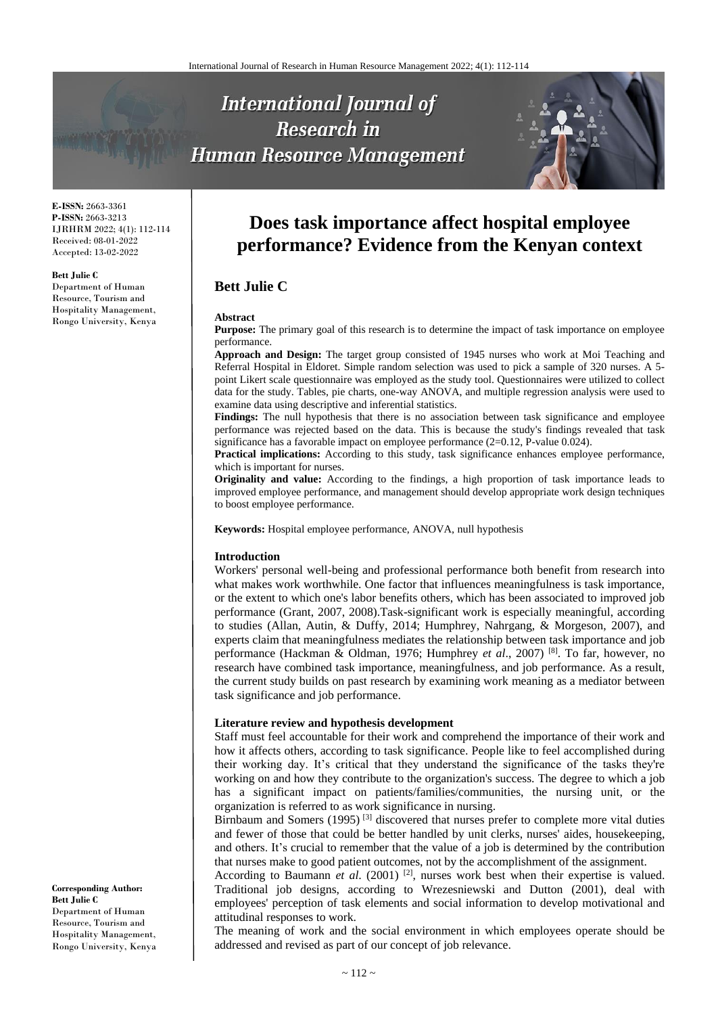# **International Journal of Research in Human Resource Management**



**E-ISSN:** 2663-3361 **P-ISSN:** 2663-3213 IJRHRM 2022; 4(1): 112-114 Received: 08-01-2022 Accepted: 13-02-2022

#### **Bett Julie C**

Department of Human Resource, Tourism and Hospitality Management, Rongo University, Kenya

# **Does task importance affect hospital employee performance? Evidence from the Kenyan context**

# **Bett Julie C**

#### **Abstract**

**Purpose:** The primary goal of this research is to determine the impact of task importance on employee performance.

**Approach and Design:** The target group consisted of 1945 nurses who work at Moi Teaching and Referral Hospital in Eldoret. Simple random selection was used to pick a sample of 320 nurses. A 5 point Likert scale questionnaire was employed as the study tool. Questionnaires were utilized to collect data for the study. Tables, pie charts, one-way ANOVA, and multiple regression analysis were used to examine data using descriptive and inferential statistics.

**Findings:** The null hypothesis that there is no association between task significance and employee performance was rejected based on the data. This is because the study's findings revealed that task significance has a favorable impact on employee performance (2=0.12, P-value 0.024).

**Practical implications:** According to this study, task significance enhances employee performance, which is important for nurses.

**Originality and value:** According to the findings, a high proportion of task importance leads to improved employee performance, and management should develop appropriate work design techniques to boost employee performance.

**Keywords:** Hospital employee performance, ANOVA, null hypothesis

#### **Introduction**

Workers' personal well-being and professional performance both benefit from research into what makes work worthwhile. One factor that influences meaningfulness is task importance, or the extent to which one's labor benefits others, which has been associated to improved job performance (Grant, 2007, 2008).Task-significant work is especially meaningful, according to studies (Allan, Autin, & Duffy, 2014; Humphrey, Nahrgang, & Morgeson, 2007), and experts claim that meaningfulness mediates the relationship between task importance and job performance (Hackman & Oldman, 1976; Humphrey *et al*., 2007) [8] . To far, however, no research have combined task importance, meaningfulness, and job performance. As a result, the current study builds on past research by examining work meaning as a mediator between task significance and job performance.

#### **Literature review and hypothesis development**

Staff must feel accountable for their work and comprehend the importance of their work and how it affects others, according to task significance. People like to feel accomplished during their working day. It's critical that they understand the significance of the tasks they're working on and how they contribute to the organization's success. The degree to which a job has a significant impact on patients/families/communities, the nursing unit, or the organization is referred to as work significance in nursing.

Birnbaum and Somers (1995)<sup>[3]</sup> discovered that nurses prefer to complete more vital duties and fewer of those that could be better handled by unit clerks, nurses' aides, housekeeping, and others. It's crucial to remember that the value of a job is determined by the contribution that nurses make to good patient outcomes, not by the accomplishment of the assignment.

According to Baumann *et al.* (2001)<sup>[2]</sup>, nurses work best when their expertise is valued. Traditional job designs, according to Wrezesniewski and Dutton (2001), deal with employees' perception of task elements and social information to develop motivational and attitudinal responses to work.

The meaning of work and the social environment in which employees operate should be addressed and revised as part of our concept of job relevance.

**Corresponding Author: Bett Julie C** Department of Human Resource, Tourism and Hospitality Management, Rongo University, Kenya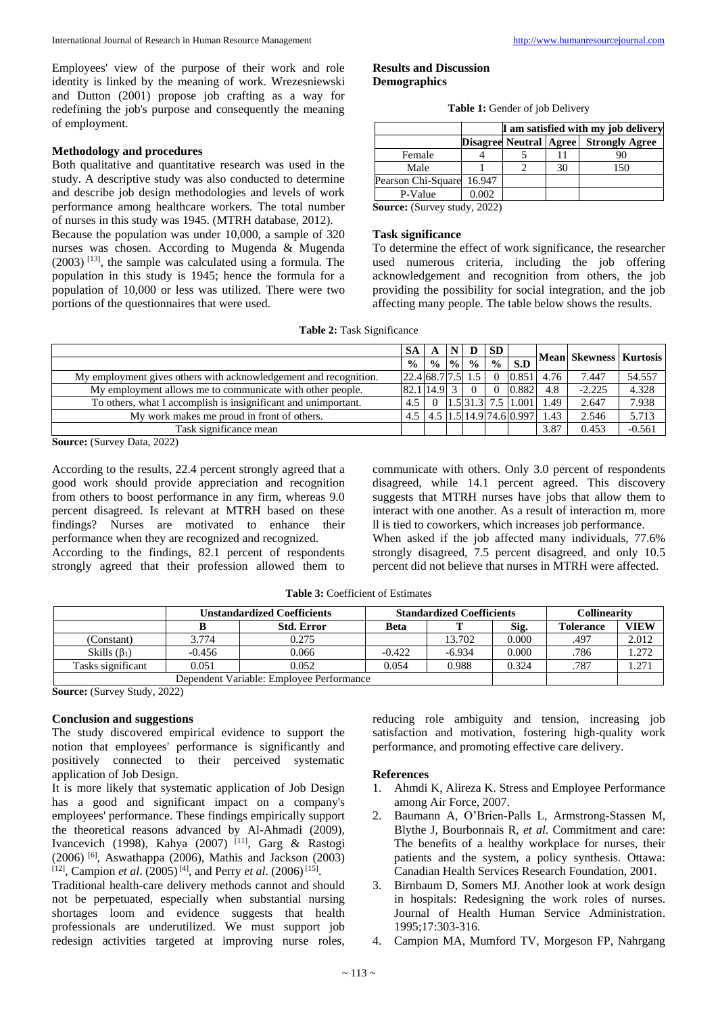Employees' view of the purpose of their work and role identity is linked by the meaning of work. Wrezesniewski and Dutton (2001) propose job crafting as a way for redefining the job's purpose and consequently the meaning of employment.

# **Methodology and procedures**

Both qualitative and quantitative research was used in the study. A descriptive study was also conducted to determine and describe job design methodologies and levels of work performance among healthcare workers. The total number of nurses in this study was 1945. (MTRH database, 2012). Because the population was under 10,000, a sample of 320 nurses was chosen. According to Mugenda & Mugenda  $(2003)$ <sup>[13]</sup>, the sample was calculated using a formula. The population in this study is 1945; hence the formula for a population of 10,000 or less was utilized. There were two portions of the questionnaires that were used.

#### **Results and Discussion Demographics**

|  |  |  | Table 1: Gender of job Delivery |
|--|--|--|---------------------------------|
|--|--|--|---------------------------------|

|                    |        | I am satisfied with my job delivery |    |                       |  |  |  |  |  |
|--------------------|--------|-------------------------------------|----|-----------------------|--|--|--|--|--|
|                    |        | Disagree Neutral   Agree            |    | <b>Strongly Agree</b> |  |  |  |  |  |
| Female             |        |                                     |    |                       |  |  |  |  |  |
| Male               |        |                                     | 30 | 150                   |  |  |  |  |  |
| Pearson Chi-Square | 16.947 |                                     |    |                       |  |  |  |  |  |
| P-Value            | 0.002  |                                     |    |                       |  |  |  |  |  |

**Source:** (Survey study, 2022)

# **Task significance**

To determine the effect of work significance, the researcher used numerous criteria, including the job offering acknowledgement and recognition from others, the job providing the possibility for social integration, and the job affecting many people. The table below shows the results.

|  |  |  | <b>Table 2:</b> Task Significance |  |  |  |
|--|--|--|-----------------------------------|--|--|--|
|--|--|--|-----------------------------------|--|--|--|

|                                                                  | <b>SA</b>                                         |                             | D             | <b>SD</b>     |                                                    |      | Mean  Skewness   Kurtosis |          |
|------------------------------------------------------------------|---------------------------------------------------|-----------------------------|---------------|---------------|----------------------------------------------------|------|---------------------------|----------|
|                                                                  | $\frac{0}{0}$                                     | $\frac{9}{6}$ $\frac{9}{6}$ | $\frac{0}{0}$ | $\frac{0}{0}$ | S.D                                                |      |                           |          |
| My employment gives others with acknowledgement and recognition. | $\left  22.4 \right  68.7 \left  7.5 \right  1.5$ |                             |               |               | $0.851 \, 4.76$                                    |      | 7.447                     | 54.557   |
| My employment allows me to communicate with other people.        | 82.1 14.9                                         |                             |               |               | 0.882                                              | 4.8  | $-2.225$                  | 4.328    |
| To others, what I accomplish is insignificant and unimportant.   | 4.5                                               |                             |               |               | $\vert 1.5 \vert 31.3 \vert 7.5 \vert 1.001 \vert$ | 1.49 | 2.647                     | 7.938    |
| My work makes me proud in front of others.                       |                                                   |                             |               |               | 4.5 1.5 14.9 74.6 0.997                            | 1.43 | 2.546                     | 5.713    |
| Task significance mean                                           |                                                   |                             |               |               |                                                    | 3.87 | 0.453                     | $-0.561$ |

**Source:** (Survey Data, 2022)

According to the results, 22.4 percent strongly agreed that a good work should provide appreciation and recognition from others to boost performance in any firm, whereas 9.0 percent disagreed. Is relevant at MTRH based on these findings? Nurses are motivated to enhance their performance when they are recognized and recognized.

According to the findings, 82.1 percent of respondents strongly agreed that their profession allowed them to

communicate with others. Only 3.0 percent of respondents disagreed, while 14.1 percent agreed. This discovery suggests that MTRH nurses have jobs that allow them to interact with one another. As a result of interaction m, more ll is tied to coworkers, which increases job performance. When asked if the job affected many individuals, 77.6% strongly disagreed, 7.5 percent disagreed, and only 10.5 percent did not believe that nurses in MTRH were affected.

| <b>Table 3: Coefficient of Estimates</b> |
|------------------------------------------|
|------------------------------------------|

|                                          | <b>Standardized Coefficients</b><br><b>Unstandardized Coefficients</b> |                   |          |          | <b>Collinearity</b> |                  |             |
|------------------------------------------|------------------------------------------------------------------------|-------------------|----------|----------|---------------------|------------------|-------------|
|                                          |                                                                        | <b>Std. Error</b> | Beta     |          | Sig.                | <b>Tolerance</b> | <b>VIEW</b> |
| (Constant)                               | 3.774                                                                  | 0.275             |          | 13.702   | 0.000               | .497             | 2.012       |
| Skills $(\beta_1)$                       | $-0.456$                                                               | 0.066             | $-0.422$ | $-6.934$ | 0.000               | .786             | 1.272       |
| Tasks significant                        | 0.051                                                                  | 0.052             | 0.054    | 0.988    | 0.324               | .787             | .271        |
| Dependent Variable: Employee Performance |                                                                        |                   |          |          |                     |                  |             |

**Source:** (Survey Study, 2022)

# **Conclusion and suggestions**

The study discovered empirical evidence to support the notion that employees' performance is significantly and positively connected to their perceived systematic application of Job Design.

It is more likely that systematic application of Job Design has a good and significant impact on a company's employees' performance. These findings empirically support the theoretical reasons advanced by Al-Ahmadi (2009), Ivancevich (1998), Kahya (2007) <sup>[11]</sup>, Garg & Rastogi (2006) [6] , Aswathappa (2006), Mathis and Jackson (2003) <sup>[12]</sup>, Campion *et al.* (2005)<sup>[4]</sup>, and Perry *et al.* (2006)<sup>[15]</sup>.

Traditional health-care delivery methods cannot and should not be perpetuated, especially when substantial nursing shortages loom and evidence suggests that health professionals are underutilized. We must support job redesign activities targeted at improving nurse roles,

reducing role ambiguity and tension, increasing job satisfaction and motivation, fostering high-quality work performance, and promoting effective care delivery.

# **References**

- 1. Ahmdi K, Alireza K. Stress and Employee Performance among Air Force, 2007.
- 2. Baumann A, O'Brien-Palls L, Armstrong-Stassen M, Blythe J, Bourbonnais R, *et al*. Commitment and care: The benefits of a healthy workplace for nurses, their patients and the system, a policy synthesis. Ottawa: Canadian Health Services Research Foundation, 2001.
- 3. Birnbaum D, Somers MJ. Another look at work design in hospitals: Redesigning the work roles of nurses. Journal of Health Human Service Administration. 1995;17:303-316.
- 4. Campion MA, Mumford TV, Morgeson FP, Nahrgang